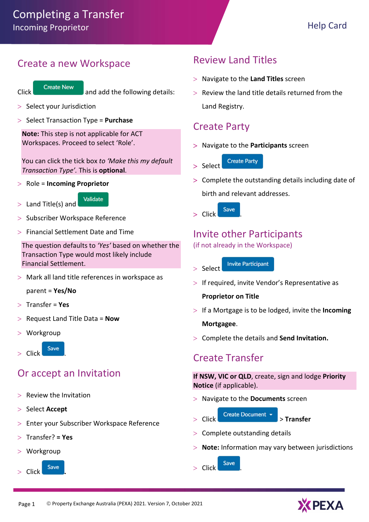#### Create a new Workspace



 $C$  Create New and add the following details:

- $>$  Select your Jurisdiction
- $>$  Select Transaction Type = Purchase

Note: This step is not applicable for ACT Workspaces. Proceed to select 'Role'.

You can click the tick box to 'Make this my default Transaction Type'. This is optional.

 $>$  Role = Incoming Proprietor



- Subscriber Workspace Reference
- $>$  Financial Settlement Date and Time

The question defaults to 'Yes' based on whether the Transaction Type would most likely include Financial Settlement.

Mark all land title references in workspace as

parent = Yes/No

- $>$  Transfer = Yes
- Request Land Title Data = Now
- Workgroup

Click Save

## Or accept an Invitation

- $>$  Review the Invitation
- $>$  Select Accept
- Enter your Subscriber Workspace Reference
- Transfer? = Yes
- Workgroup



## Review Land Titles

- $>$  Navigate to the Land Titles screen
- $>$  Review the land title details returned from the Land Registry.

#### Create Party

- > Navigate to the Participants screen
	- **Create Party** Select
- Complete the outstanding details including date of birth and relevant addresses.
- $>$  Click  $Save$

### Invite other Participants

(if not already in the Workspace)

- **Invite Participant**  $>$  Select
- $>$  If required, invite Vendor's Representative as

Proprietor on Title

- $>$  If a Mortgage is to be lodged, invite the Incoming Mortgagee.
- $>$  Complete the details and Send Invitation.

#### Create Transfer

If NSW, VIC or QLD, create, sign and lodge Priority Notice (if applicable).

- $>$  Navigate to the Documents screen
- - Click Create Document **x** > Transfer
- $>$  Complete outstanding details
- $>$  Note: Information may vary between jurisdictions

Click Save

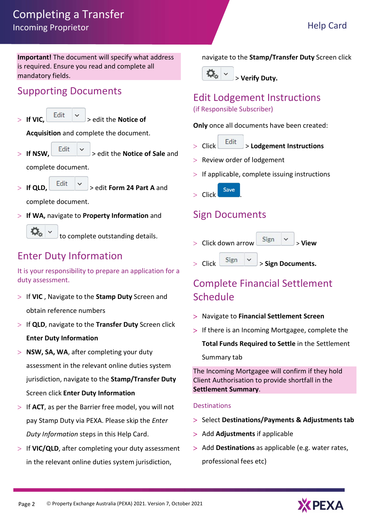# Completing a Transfer Incoming Proprietor **Help Card**

Important! The document will specify what address is required. Ensure you read and complete all mandatory fields.

## Supporting Documents

 $>$  If VIC, Edit  $\vert \times \vert$  > edit the Notice of

Acquisition and complete the document.

 $\vert$  If NSW,  $\vert$  Edit  $\vert \vee \vert$  and  $\vert$  and  $\vert$  and  $\vert$  and  $\vert$  and  $\vert$  and  $\vert$  and  $\vert$  and  $\vert$  and  $\vert$  and  $\vert$  and  $\vert$  and  $\vert$  and  $\vert$  and  $\vert$  and  $\vert$  and  $\vert$  and  $\vert$  and  $\vert$  and  $\vert$  and  $\vert$  and  $\vert$ 

complete document.

 $>$  If OLD,  $\begin{array}{|c|c|c|c|c|}\n>$  edit Form 24 Part A and

complete document.

 $>$  If WA, navigate to Property Information and



to complete outstanding details.

# Enter Duty Information

It is your responsibility to prepare an application for a duty assessment.

- $>$  If VIC, Navigate to the Stamp Duty Screen and obtain reference numbers
- $>$  If QLD, navigate to the Transfer Duty Screen click Enter Duty Information
- $>$  NSW, SA, WA, after completing your duty assessment in the relevant online duties system jurisdiction, navigate to the Stamp/Transfer Duty Screen click Enter Duty Information
- $>$  If ACT, as per the Barrier free model, you will not pay Stamp Duty via PEXA. Please skip the Enter Duty Information steps in this Help Card.
- > If VIC/QLD, after completing your duty assessment in the relevant online duties system jurisdiction,

navigate to the Stamp/Transfer Duty Screen click



#### Edit Lodgement Instructions (if Responsible Subscriber)

Only once all documents have been created:

- $>$  Click  $\left| \begin{array}{c} \end{array} \right|$   $>$  Lodgement Instructions
- > Review order of lodgement
- $>$  If applicable, complete issuing instructions
- Click Save

## Sign Documents

- Click down arrow  $\begin{vmatrix} \text{Sign} & \times \\ \end{vmatrix}$  > View
- Click  $\left\lfloor \frac{\text{Sign}}{\text{Sign}} \right\rfloor$  > Sign Documents.

# Complete Financial Settlement Schedule

- Navigate to Financial Settlement Screen
- If there is an Incoming Mortgagee, complete the Total Funds Required to Settle in the Settlement

Summary tab

The Incoming Mortgagee will confirm if they hold Client Authorisation to provide shortfall in the Settlement Summary.

#### **Destinations**

- > Select Destinations/Payments & Adjustments tab
- > Add Adjustments if applicable
- > Add Destinations as applicable (e.g. water rates, professional fees etc)